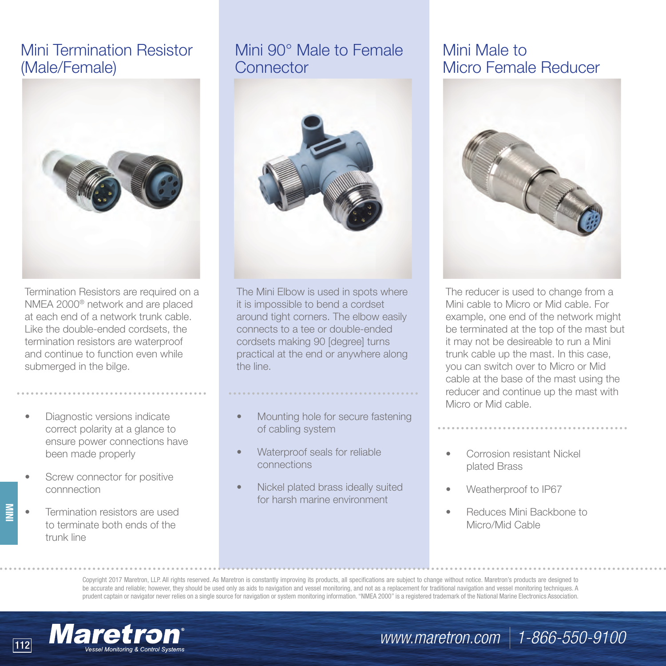# Mini Termination Resistor (Male/Female)



Termination Resistors are required on a NMEA 2000® network and are placed at each end of a network trunk cable. Like the double-ended cordsets, the termination resistors are waterproof and continue to function even while submerged in the bilge.

- Diagnostic versions indicate correct polarity at a glance to ensure power connections have been made properly
- Screw connector for positive connnection
- Termination resistors are used to terminate both ends of the trunk line

**MINI**

# Mini 90° Male to Female **Connector**



The Mini Elbow is used in spots where it is impossible to bend a cordset around tight corners. The elbow easily connects to a tee or double-ended cordsets making 90 [degree] turns practical at the end or anywhere along the line.

• Mounting hole for secure fastening of cabling system

- Waterproof seals for reliable connections
- Nickel plated brass ideally suited for harsh marine environment

# Mini Male to Micro Female Reducer



The reducer is used to change from a Mini cable to Micro or Mid cable. For example, one end of the network might be terminated at the top of the mast but it may not be desireable to run a Mini trunk cable up the mast. In this case, you can switch over to Micro or Mid cable at the base of the mast using the reducer and continue up the mast with Micro or Mid cable.

- Corrosion resistant Nickel plated Brass
- Weatherproof to IP67

*www.maretron.com* | 1-866-550-9100

• Reduces Mini Backbone to Micro/Mid Cable

Copyright 2017 Maretron, LLP. All rights reserved. As Maretron is constantly improving its products, all specifications are subject to change without notice. Maretron's products are designed to be accurate and reliable; however, they should be used only as aids to navigation and vessel monitoring, and not as a replacement for traditional navigation and vessel monitoring techniques. A prudent captain or navigator never relies on a single source for navigation or system monitoring information. "NMEA 2000" is a registered trademark of the National Marine Electronics Association